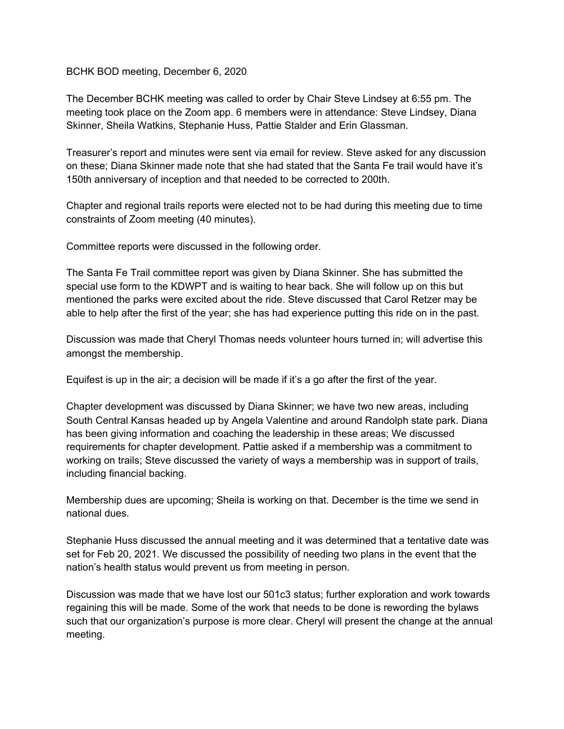## BCHK BOD meeting, December 6, 2020

The December BCHK meeting was called to order by Chair Steve Lindsey at 6:55 pm. The meeting took place on the Zoom app. 6 members were in attendance: Steve Lindsey, Diana Skinner, Sheila Watkins, Stephanie Huss, Pattie Stalder and Erin Glassman.

Treasurer's report and minutes were sent via email for review. Steve asked for any discussion on these; Diana Skinner made note that she had stated that the Santa Fe trail would have it's 150th anniversary of inception and that needed to be corrected to 200th.

Chapter and regional trails reports were elected not to be had during this meeting due to time constraints of Zoom meeting (40 minutes).

Committee reports were discussed in the following order.

The Santa Fe Trail committee report was given by Diana Skinner. She has submitted the special use form to the KDWPT and is waiting to hear back. She will follow up on this but mentioned the parks were excited about the ride. Steve discussed that Carol Retzer may be able to help after the first of the year; she has had experience putting this ride on in the past.

Discussion was made that Cheryl Thomas needs volunteer hours turned in; will advertise this amongst the membership.

Equifest is up in the air; a decision will be made if it's a go after the first of the year.

Chapter development was discussed by Diana Skinner; we have two new areas, including South Central Kansas headed up by Angela Valentine and around Randolph state park. Diana has been giving information and coaching the leadership in these areas; We discussed requirements for chapter development. Pattie asked if a membership was a commitment to working on trails; Steve discussed the variety of ways a membership was in support of trails, including financial backing.

Membership dues are upcoming; Sheila is working on that. December is the time we send in national dues.

Stephanie Huss discussed the annual meeting and it was determined that a tentative date was set for Feb 20, 2021. We discussed the possibility of needing two plans in the event that the nation's health status would prevent us from meeting in person.

Discussion was made that we have lost our 501c3 status; further exploration and work towards regaining this will be made. Some of the work that needs to be done is rewording the bylaws such that our organization's purpose is more clear. Cheryl will present the change at the annual meeting.